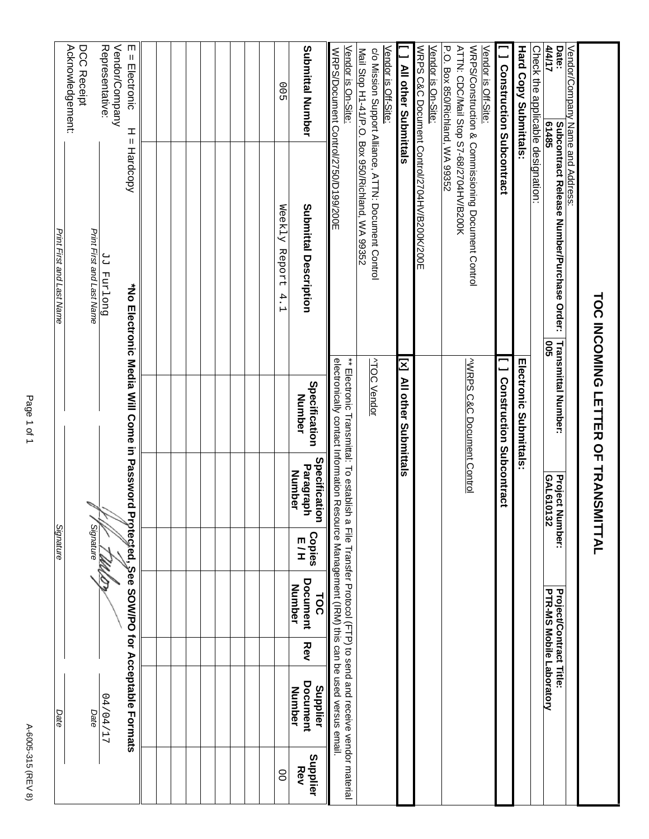|                           | Acknowledgement:<br>DCC Receipt |                           | Vendor/Company<br>Representative: | m<br>$=$ Electronic<br>I<br>Ш                |  |  |  |  | 00                           | <b>Submittal Number</b>                     | Vendor is On-Site:<br>WRPS/Document Control/2750/D199/200E                                                                                                                                                                                                                                                                                                                               | Vendor is Off-Site:                                                                                     | <b>All other Submittals</b> | Vendor is On-Site:                          | P.O. Box 850/Richland, WA 99352<br>ATTN: CDC/Mail Stop S7-68/2704HV/B200K<br>Vendor is Off-Site: | <b>J</b> Construction Subcontract | <b>Hard Copy Submittals:</b>  | Check the applicable designation: | Date:<br>4/4/17<br>61485                                        | Vendor/Company Name and Address: |                                    |
|---------------------------|---------------------------------|---------------------------|-----------------------------------|----------------------------------------------|--|--|--|--|------------------------------|---------------------------------------------|------------------------------------------------------------------------------------------------------------------------------------------------------------------------------------------------------------------------------------------------------------------------------------------------------------------------------------------------------------------------------------------|---------------------------------------------------------------------------------------------------------|-----------------------------|---------------------------------------------|--------------------------------------------------------------------------------------------------|-----------------------------------|-------------------------------|-----------------------------------|-----------------------------------------------------------------|----------------------------------|------------------------------------|
| Print First and Last Name |                                 | Print First and Last Name | Duo [xnd [P                       | Hardcopy                                     |  |  |  |  | Weekly Report<br>$4 \cdot 1$ | <b>Submittal Description</b>                |                                                                                                                                                                                                                                                                                                                                                                                          | Mail Stop H1-41/P.O. Box 950/Richland, WA 99352<br>c/o Mission Support Alliance, ATTN: Document Control |                             | WRPS C&C Document Control/2704HV/B200K/200E | WRPS/Construction & Commissioning Document Control                                               |                                   |                               |                                   | <b>Subcontract Release Number/Purchase Order:</b><br><b>SOO</b> |                                  |                                    |
|                           |                                 |                           |                                   | *No Electronic Media Will Come in Password   |  |  |  |  |                              | Specification<br>Number                     | electronically contact Information Resource Management (IRM) this can be used versus email.<br>$_{\ast}$ = $\frac{1}{10}$ and $\frac{1}{10}$ and $\frac{1}{10}$ and $\frac{1}{10}$ and $\frac{1}{10}$ and $\frac{1}{10}$ and $\frac{1}{10}$ and $\frac{1}{10}$ and $\frac{1}{10}$ and $\frac{1}{10}$ and $\frac{1}{10}$ and $\frac{1}{10}$ and $\frac{1}{10}$ and $\frac{1}{10}$ and $\$ | <b>ATOC Vendor</b>                                                                                      | [x] All other Submittals    |                                             | WRPS C&C Document Control                                                                        | <b>I</b> Construction Subcontract | <b>Electronic Submittals:</b> |                                   | <b>Transmittal Number:</b>                                      |                                  | TOC INCOMING LETTER OF TRANSMITTAL |
|                           |                                 |                           |                                   |                                              |  |  |  |  |                              | Specification<br>Paragraph<br><b>Number</b> |                                                                                                                                                                                                                                                                                                                                                                                          |                                                                                                         |                             |                                             |                                                                                                  |                                   |                               |                                   | GAL610132<br><b>Project N</b><br>umber:                         |                                  |                                    |
| Signature                 |                                 | Signature                 | W                                 |                                              |  |  |  |  |                              | <b>Copies</b><br>E/H                        |                                                                                                                                                                                                                                                                                                                                                                                          |                                                                                                         |                             |                                             |                                                                                                  |                                   |                               |                                   |                                                                 |                                  |                                    |
|                           |                                 |                           |                                   |                                              |  |  |  |  |                              | <b>Document</b><br>Number<br><b>TOC</b>     |                                                                                                                                                                                                                                                                                                                                                                                          |                                                                                                         |                             |                                             |                                                                                                  |                                   |                               |                                   | PTR-MS Mobile Laboratory<br><b>Project/Contract Title:</b>      |                                  |                                    |
|                           |                                 |                           |                                   |                                              |  |  |  |  |                              | Rev                                         |                                                                                                                                                                                                                                                                                                                                                                                          |                                                                                                         |                             |                                             |                                                                                                  |                                   |                               |                                   |                                                                 |                                  |                                    |
| Date                      |                                 | Date                      | 17/04/17                          | Protected, See SOW/PO for Acceptable Formats |  |  |  |  |                              | Document<br>Supplier<br>Number              |                                                                                                                                                                                                                                                                                                                                                                                          |                                                                                                         |                             |                                             |                                                                                                  |                                   |                               |                                   |                                                                 |                                  |                                    |
|                           |                                 |                           |                                   |                                              |  |  |  |  | 8                            | Supplier<br>Rev                             |                                                                                                                                                                                                                                                                                                                                                                                          |                                                                                                         |                             |                                             |                                                                                                  |                                   |                               |                                   |                                                                 |                                  |                                    |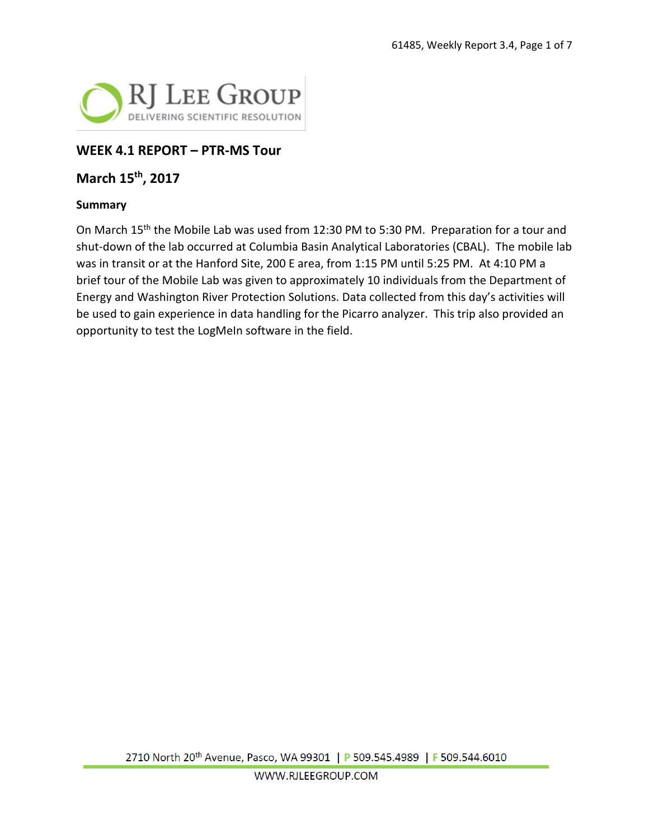

## **WEEK 4.1 REPORT – PTR-MS Tour**

## **March 15th, 2017**

#### **Summary**

On March 15<sup>th</sup> the Mobile Lab was used from 12:30 PM to 5:30 PM. Preparation for a tour and shut-down of the lab occurred at Columbia Basin Analytical Laboratories (CBAL). The mobile lab was in transit or at the Hanford Site, 200 E area, from 1:15 PM until 5:25 PM. At 4:10 PM a brief tour of the Mobile Lab was given to approximately 10 individuals from the Department of Energy and Washington River Protection Solutions. Data collected from this day's activities will be used to gain experience in data handling for the Picarro analyzer. This trip also provided an opportunity to test the LogMeIn software in the field.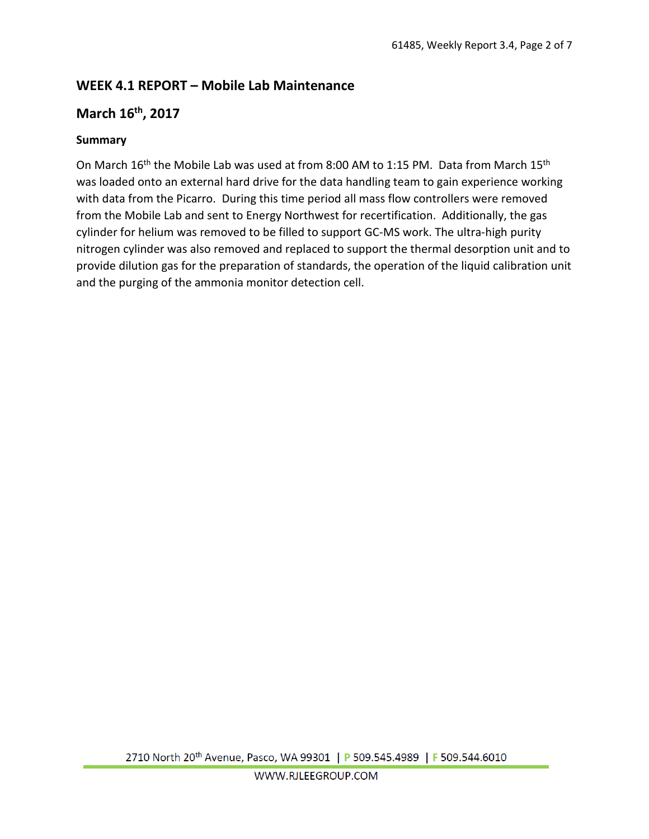# **WEEK 4.1 REPORT – Mobile Lab Maintenance**

## **March 16th, 2017**

## **Summary**

On March 16<sup>th</sup> the Mobile Lab was used at from 8:00 AM to 1:15 PM. Data from March 15<sup>th</sup> was loaded onto an external hard drive for the data handling team to gain experience working with data from the Picarro. During this time period all mass flow controllers were removed from the Mobile Lab and sent to Energy Northwest for recertification. Additionally, the gas cylinder for helium was removed to be filled to support GC-MS work. The ultra-high purity nitrogen cylinder was also removed and replaced to support the thermal desorption unit and to provide dilution gas for the preparation of standards, the operation of the liquid calibration unit and the purging of the ammonia monitor detection cell.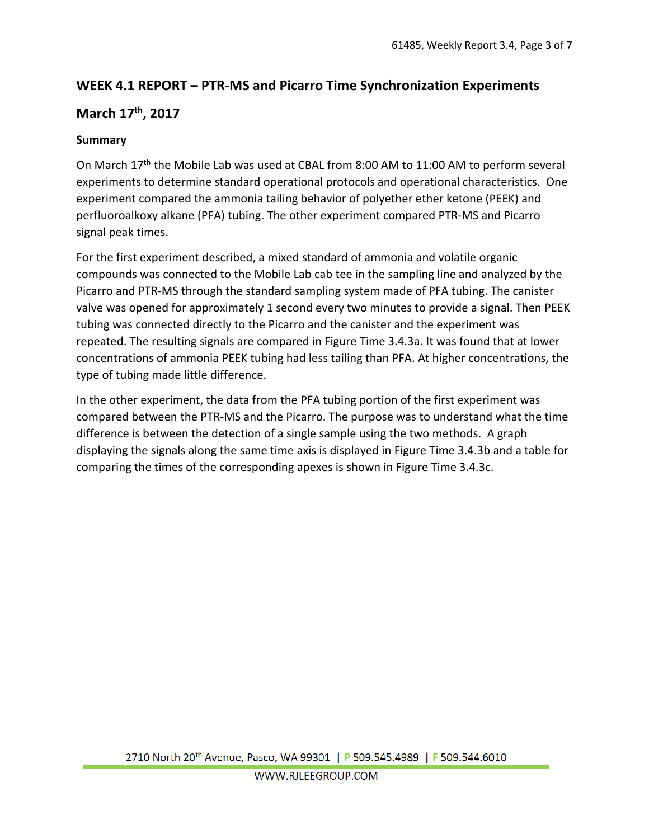# **WEEK 4.1 REPORT – PTR-MS and Picarro Time Synchronization Experiments**

## **March 17th, 2017**

## **Summary**

On March 17<sup>th</sup> the Mobile Lab was used at CBAL from 8:00 AM to 11:00 AM to perform several experiments to determine standard operational protocols and operational characteristics. One experiment compared the ammonia tailing behavior of polyether ether ketone (PEEK) and perfluoroalkoxy alkane (PFA) tubing. The other experiment compared PTR-MS and Picarro signal peak times.

For the first experiment described, a mixed standard of ammonia and volatile organic compounds was connected to the Mobile Lab cab tee in the sampling line and analyzed by the Picarro and PTR-MS through the standard sampling system made of PFA tubing. The canister valve was opened for approximately 1 second every two minutes to provide a signal. Then PEEK tubing was connected directly to the Picarro and the canister and the experiment was repeated. The resulting signals are compared in Figure Time 3.4.3a. It was found that at lower concentrations of ammonia PEEK tubing had less tailing than PFA. At higher concentrations, the type of tubing made little difference.

In the other experiment, the data from the PFA tubing portion of the first experiment was compared between the PTR-MS and the Picarro. The purpose was to understand what the time difference is between the detection of a single sample using the two methods. A graph displaying the signals along the same time axis is displayed in Figure Time 3.4.3b and a table for comparing the times of the corresponding apexes is shown in Figure Time 3.4.3c.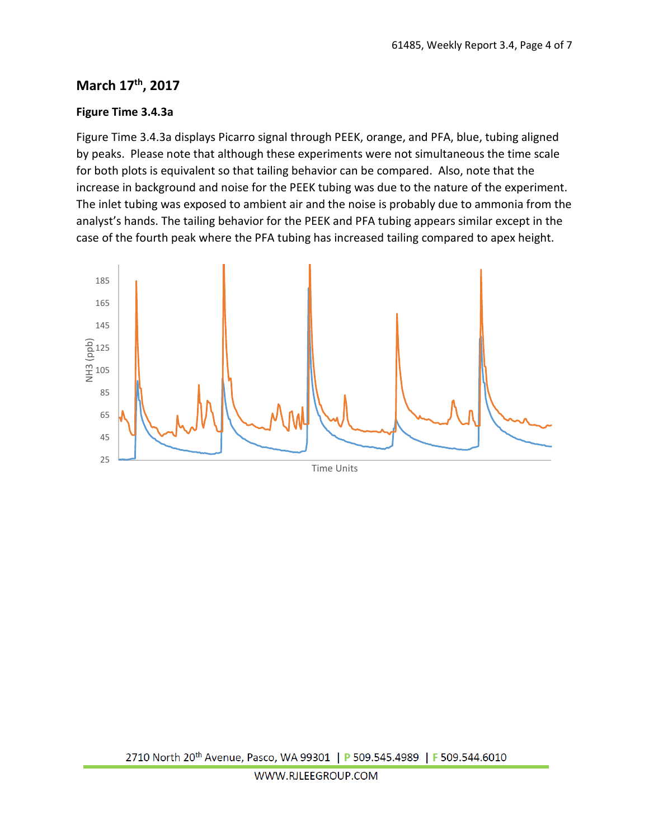# **March 17th, 2017**

## **Figure Time 3.4.3a**

Figure Time 3.4.3a displays Picarro signal through PEEK, orange, and PFA, blue, tubing aligned by peaks. Please note that although these experiments were not simultaneous the time scale for both plots is equivalent so that tailing behavior can be compared. Also, note that the increase in background and noise for the PEEK tubing was due to the nature of the experiment. The inlet tubing was exposed to ambient air and the noise is probably due to ammonia from the analyst's hands. The tailing behavior for the PEEK and PFA tubing appears similar except in the case of the fourth peak where the PFA tubing has increased tailing compared to apex height.

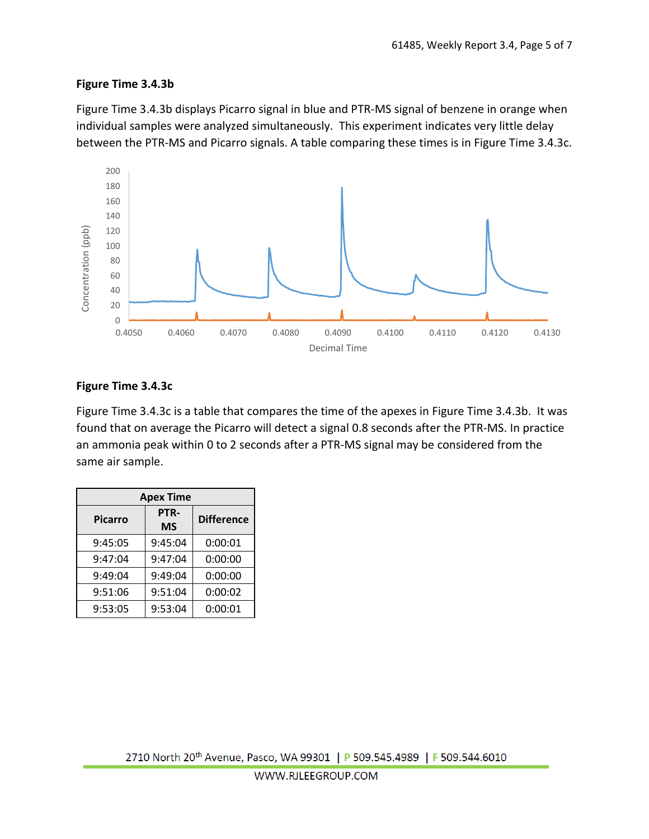#### **Figure Time 3.4.3b**

Figure Time 3.4.3b displays Picarro signal in blue and PTR-MS signal of benzene in orange when individual samples were analyzed simultaneously. This experiment indicates very little delay between the PTR-MS and Picarro signals. A table comparing these times is in Figure Time 3.4.3c.



#### **Figure Time 3.4.3c**

Figure Time 3.4.3c is a table that compares the time of the apexes in Figure Time 3.4.3b. It was found that on average the Picarro will detect a signal 0.8 seconds after the PTR-MS. In practice an ammonia peak within 0 to 2 seconds after a PTR-MS signal may be considered from the same air sample.

| <b>Apex Time</b> |                   |                   |  |  |  |  |  |  |  |  |
|------------------|-------------------|-------------------|--|--|--|--|--|--|--|--|
| <b>Picarro</b>   | PTR-<br><b>MS</b> | <b>Difference</b> |  |  |  |  |  |  |  |  |
| 9:45:05          | 9:45:04           | 0:00:01           |  |  |  |  |  |  |  |  |
| 9:47:04          | 9:47:04           | 0:00:00           |  |  |  |  |  |  |  |  |
| 9:49:04          | 9:49:04           | 0:00:00           |  |  |  |  |  |  |  |  |
| 9:51:06          | 9:51:04           | 0:00:02           |  |  |  |  |  |  |  |  |
| 9:53:05          | 9:53:04           | 0:00:01           |  |  |  |  |  |  |  |  |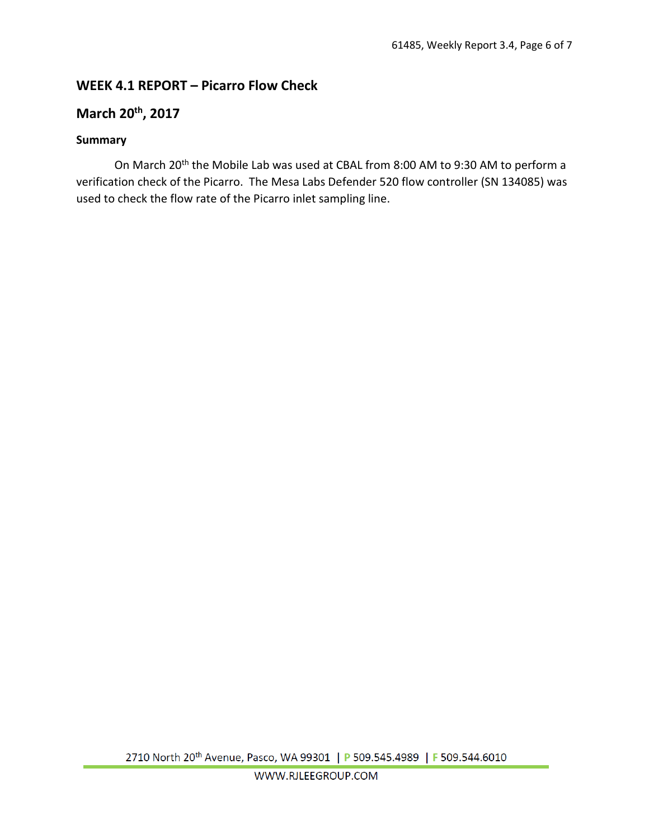# **WEEK 4.1 REPORT – Picarro Flow Check**

# **March 20th, 2017**

### **Summary**

On March 20<sup>th</sup> the Mobile Lab was used at CBAL from 8:00 AM to 9:30 AM to perform a verification check of the Picarro. The Mesa Labs Defender 520 flow controller (SN 134085) was used to check the flow rate of the Picarro inlet sampling line.

2710 North 20<sup>th</sup> Avenue, Pasco, WA 99301 | P 509.545.4989 | F 509.544.6010